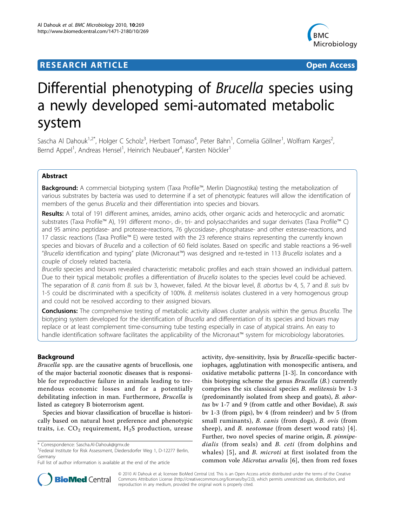# **RESEARCH ARTICLE Example 2018 CONSUMING ACCESS**



# Differential phenotyping of Brucella species using a newly developed semi-automated metabolic system

Sascha Al Dahouk<sup>1,2\*</sup>, Holger C Scholz<sup>3</sup>, Herbert Tomaso<sup>4</sup>, Peter Bahn<sup>1</sup>, Cornelia Göllner<sup>1</sup>, Wolfram Karges<sup>2</sup> , Bernd Appel<sup>1</sup>, Andreas Hensel<sup>1</sup>, Heinrich Neubauer<sup>4</sup>, Karsten Nöckler<sup>1</sup>

# Abstract

Background: A commercial biotyping system (Taxa Profile™, Merlin Diagnostika) testing the metabolization of various substrates by bacteria was used to determine if a set of phenotypic features will allow the identification of members of the genus Brucella and their differentiation into species and biovars.

Results: A total of 191 different amines, amides, amino acids, other organic acids and heterocyclic and aromatic substrates (Taxa Profile™ A), 191 different mono-, di-, tri- and polysaccharides and sugar derivates (Taxa Profile™ C) and 95 amino peptidase- and protease-reactions, 76 glycosidase-, phosphatase- and other esterase-reactions, and 17 classic reactions (Taxa Profile™ E) were tested with the 23 reference strains representing the currently known species and biovars of Brucella and a collection of 60 field isolates. Based on specific and stable reactions a 96-well "Brucella identification and typing" plate (Micronaut™) was designed and re-tested in 113 Brucella isolates and a couple of closely related bacteria.

Brucella species and biovars revealed characteristic metabolic profiles and each strain showed an individual pattern. Due to their typical metabolic profiles a differentiation of Brucella isolates to the species level could be achieved. The separation of B. canis from B. suis by 3, however, failed. At the biovar level, B. abortus by 4, 5, 7 and B. suis by 1-5 could be discriminated with a specificity of 100%. B. melitensis isolates clustered in a very homogenous group and could not be resolved according to their assigned biovars.

Conclusions: The comprehensive testing of metabolic activity allows cluster analysis within the genus Brucella. The biotyping system developed for the identification of Brucella and differentiation of its species and biovars may replace or at least complement time-consuming tube testing especially in case of atypical strains. An easy to handle identification software facilitates the applicability of the Micronaut™ system for microbiology laboratories.

# Background

Brucella spp. are the causative agents of brucellosis, one of the major bacterial zoonotic diseases that is responsible for reproductive failure in animals leading to tremendous economic losses and for a potentially debilitating infection in man. Furthermore, Brucella is listed as category B bioterrorism agent.

Species and biovar classification of brucellae is historically based on natural host preference and phenotypic traits, i.e.  $CO<sub>2</sub>$  requirement,  $H<sub>2</sub>S$  production, urease

activity, dye-sensitivity, lysis by Brucella-specific bacteriophages, agglutination with monospecific antisera, and oxidative metabolic patterns [[1-3](#page-10-0)]. In concordance with this biotyping scheme the genus Brucella (B.) currently comprises the six classical species B. melitensis bv 1-3 (predominantly isolated from sheep and goats), B. abortus bv 1-7 and 9 (from cattle and other Bovidae), B. suis bv 1-3 (from pigs), bv 4 (from reindeer) and bv 5 (from small ruminants), B. canis (from dogs), B. ovis (from sheep), and *B. neotomae* (from desert wood rats) [[4\]](#page-10-0). Further, two novel species of marine origin, B. pinnipedialis (from seals) and B. ceti (from dolphins and whales) [[5](#page-10-0)], and *B. microti* at first isolated from the common vole Microtus arvalis [[6\]](#page-10-0), then from red foxes



© 2010 Al Dahouk et al; licensee BioMed Central Ltd. This is an Open Access article distributed under the terms of the Creative Commons Attribution License [\(http://creativecommons.org/licenses/by/2.0](http://creativecommons.org/licenses/by/2.0)), which permits unrestricted use, distribution, and reproduction in any medium, provided the original work is properly cited.

<sup>\*</sup> Correspondence: [Sascha.Al-Dahouk@gmx.de](mailto:Sascha.Al-Dahouk@gmx.de)

<sup>&</sup>lt;sup>1</sup>Federal Institute for Risk Assessment, Diedersdorfer Weg 1, D-12277 Berlin, Germany

Full list of author information is available at the end of the article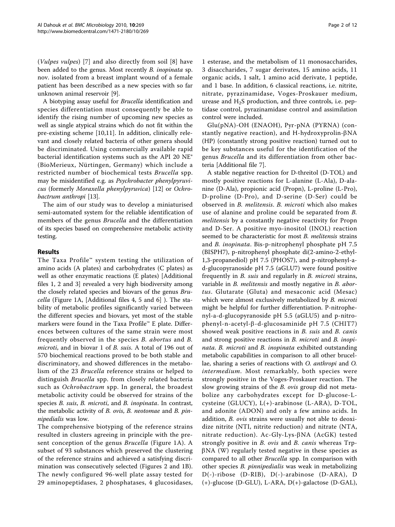(Vulpes vulpes) [\[7](#page-10-0)] and also directly from soil [[8\]](#page-10-0) have been added to the genus. Most recently B. inopinata sp. nov. isolated from a breast implant wound of a female patient has been described as a new species with so far unknown animal reservoir [[9\]](#page-10-0).

A biotyping assay useful for Brucella identification and species differentiation must consequently be able to identify the rising number of upcoming new species as well as single atypical strains which do not fit within the pre-existing scheme [\[10](#page-10-0),[11\]](#page-10-0). In addition, clinically relevant and closely related bacteria of other genera should be discriminated. Using commercially available rapid bacterial identification systems such as the API 20 NE® (BioMerieux, Nürtingen, Germany) which include a restricted number of biochemical tests Brucella spp. may be misidentified e.g. as Psychrobacter phenylpyruvicus (formerly Moraxella phenylpyruvica) [\[12](#page-10-0)] or Ochrobactrum anthropi [\[13](#page-10-0)].

The aim of our study was to develop a miniaturised semi-automated system for the reliable identification of members of the genus Brucella and the differentiation of its species based on comprehensive metabolic activity testing.

# Results

The Taxa Profile™ system testing the utilization of amino acids (A plates) and carbohydrates (C plates) as well as other enzymatic reactions (E plates) [Additional files [1](#page-9-0), [2](#page-9-0) and [3\]](#page-10-0) revealed a very high biodiversity among the closely related species and biovars of the genus Brucella (Figure [1A](#page-2-0), [Additional files [4](#page-10-0), [5](#page-10-0) and [6\]](#page-10-0) ). The stability of metabolic profiles significantly varied between the different species and biovars, yet most of the stable markers were found in the Taxa Profile™ E plate. Differences between cultures of the same strain were most frequently observed in the species B. abortus and B. microti, and in biovar 1 of B. suis. A total of 196 out of 570 biochemical reactions proved to be both stable and discriminatory, and showed differences in the metabolism of the 23 Brucella reference strains or helped to distinguish Brucella spp. from closely related bacteria such as Ochrobactrum spp. In general, the broadest metabolic activity could be observed for strains of the species B. suis, B. microti, and B. inopinata. In contrast, the metabolic activity of B. ovis, B. neotomae and B. pinnipedialis was low.

The comprehensive biotyping of the reference strains resulted in clusters agreeing in principle with the pre-sent conception of the genus Brucella (Figure [1A](#page-2-0)). A subset of 93 substances which preserved the clustering of the reference strains and achieved a satisfying discrimination was consecutively selected (Figures [2](#page-3-0) and [1B](#page-2-0)). The newly configured 96-well plate assay tested for 29 aminopeptidases, 2 phosphatases, 4 glucosidases,

1 esterase, and the metabolism of 11 monosaccharides, 3 disaccharides, 7 sugar derivates, 15 amino acids, 11 organic acids, 1 salt, 1 amino acid derivate, 1 peptide, and 1 base. In addition, 6 classical reactions, i.e. nitrite, nitrate, pyrazinamidase, Voges-Proskauer medium, urease and  $H_2S$  production, and three controls, i.e. peptidase control, pyrazinamidase control and assimilation control were included.

Glu(pNA)-OH (ENAOH), Pyr-pNA (PYRNA) (constantly negative reaction), and H-hydroxyprolin- $\beta$ NA (HP) (constantly strong positive reaction) turned out to be key substances useful for the identification of the genus *Brucella* and its differentiation from other bacteria [Additional file [7\]](#page-10-0).

A stable negative reaction for D-threitol (D-TOL) and mostly positive reactions for L-alanine (L-Ala), D-alanine (D-Ala), propionic acid (Propn), L-proline (L-Pro), D-proline (D-Pro), and D-serine (D-Ser) could be observed in B. melitensis. B. microti which also makes use of alanine and proline could be separated from B. melitensis by a constantly negative reactivity for Propn and D-Ser. A positive myo-inositol (INOL) reaction seemed to be characteristic for most *B. melitensis* strains and B. inopinata. Bis-p-nitrophenyl phosphate pH 7.5 (BISPH7), p-nitrophenyl phosphate di(2-amino-2-ethyl-1,3-propanediol) pH 7.5 (PHOS7), and p-nitrophenyl-ad-glucopyranoside pH 7.5 (aGLU7) were found positive frequently in *B. suis* and regularly in *B. microti* strains, variable in *B. melitensis* and mostly negative in *B. abor*tus. Glutarate (Gluta) and mesaconic acid (Mesac) which were almost exclusively metabolized by *B. microti* might be helpful for further differentiation. P-nitrophenyl-a-d-glucopyranoside pH 5.5 (aGLU5) and p-nitrophenyl-n-acetyl- $\beta$ -d-glucosaminide pH 7.5 (CHIT7) showed weak positive reactions in B. suis and B. canis and strong positive reactions in *B. microti* and *B. inopi*nata. B. microti and B. inopinata exhibited outstanding metabolic capabilities in comparison to all other brucellae, sharing a series of reactions with O. anthropi and O. intermedium. Most remarkably, both species were strongly positive in the Voges-Proskauer reaction. The slow growing strains of the B. ovis group did not metabolize any carbohydrates except for D-glucose-Lcysteine (GLUCY), L(+)-arabinose (L-ARA), D-TOL, and adonite (ADON) and only a few amino acids. In addition, B. ovis strains were usually not able to deoxidize nitrite (NTI, nitrite reduction) and nitrate (NTA, nitrate reduction).  $Ac\text{-}Gly\text{-}Lys\text{-}BNA$  (AcGK) tested strongly positive in B. ovis and B. canis whereas Trp- $\beta$ NA (W) regularly tested negative in these species as compared to all other Brucella spp. In comparison with other species B. pinnipedialis was weak in metabolizing D(-)-ribose (D-RIB), D(-)-arabinose (D-ARA), D (+)-glucose (D-GLU), L-ARA, D(+)-galactose (D-GAL),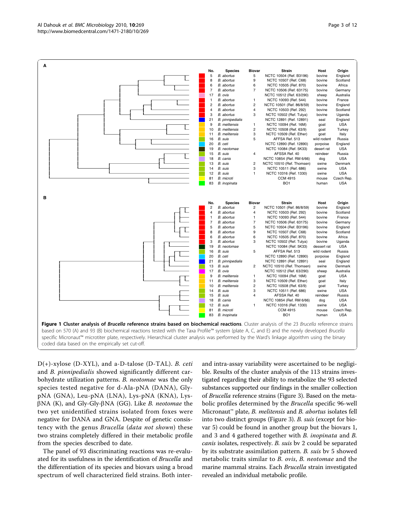<span id="page-2-0"></span>

 $D(+)$ -xylose (D-XYL), and a-D-talose (D-TAL). B. ceti and B. pinnipedialis showed significantly different carbohydrate utilization patterns. B. neotomae was the only species tested negative for d-Ala-pNA (DANA), GlypNA (GNA), Leu-pNA (LNA), Lys-pNA (KNA), Lys- $\beta$ NA (K), and Gly-Gly- $\beta$ NA (GG). Like *B. neotomae* the two yet unidentified strains isolated from foxes were negative for DANA and GNA. Despite of genetic consistency with the genus Brucella (data not shown) these two strains completely differed in their metabolic profile from the species described to date.

The panel of 93 discriminating reactions was re-evaluated for its usefulness in the identification of Brucella and the differentiation of its species and biovars using a broad spectrum of well characterized field strains. Both interand intra-assay variability were ascertained to be negligible. Results of the cluster analysis of the 113 strains investigated regarding their ability to metabolize the 93 selected substances supported our findings in the smaller collection of Brucella reference strains (Figure [3](#page-4-0)). Based on the metabolic profiles determined by the Brucella specific 96-well Micronaut<sup>™</sup> plate, *B. melitensis* and *B. abortus* isolates fell into two distinct groups (Figure [3](#page-4-0)). B. suis (except for biovar 5) could be found in another group but the biovars 1, and 3 and 4 gathered together with B. inopinata and B. canis isolates, respectively. B. suis bv 2 could be separated by its substrate assimilation pattern. B. suis bv 5 showed metabolic traits similar to B. ovis, B. neotomae and the marine mammal strains. Each Brucella strain investigated revealed an individual metabolic profile.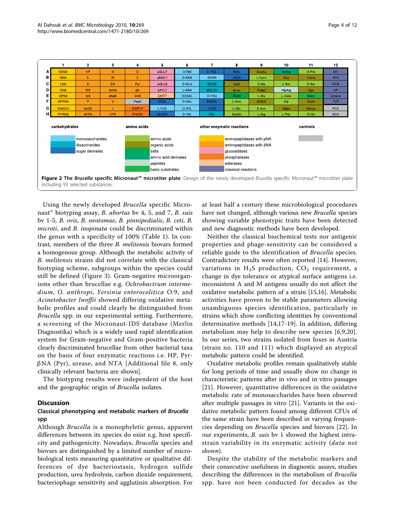<span id="page-3-0"></span>

|                                                                                                                                                                                          |                  | $\mathbf{2}$ | з           | 4             | 5                    | 6                   |                          | 8                        | 9            | 10     | 11    | 12               |
|------------------------------------------------------------------------------------------------------------------------------------------------------------------------------------------|------------------|--------------|-------------|---------------|----------------------|---------------------|--------------------------|--------------------------|--------------|--------|-------|------------------|
| A                                                                                                                                                                                        | <b>DANA</b>      | <b>HP</b>    | N           | D             | aGLU7                | $D-RIB$             | D-TOL                    | <b>INOL</b>              | GuaSu        | AcArg  | D-Pro | <b>NTI</b>       |
| в                                                                                                                                                                                        | <b>GNA</b>       | IL.          | W           | Е             | aMAL7                | D-ARA               | <b>ADON</b>              | <b>INON</b>              | L-Cyss       | Glyx   | Fuma  | <b>NTA</b>       |
| c l                                                                                                                                                                                      | <b>LNA</b>       | K            | EH          | Pyr           | aGLU5                | D-GLU               | <b>SUCR</b>              | Galli                    | D-Ala        | L-Ser  | D-Ser | <b>PCA</b>       |
| D                                                                                                                                                                                        | <b>KNA</b>       | <b>RR</b>    | <b>AcKA</b> | βA            | aXYL7                | L-ARA               | <b>MALTO</b>             | diLac                    | Propn        | HipArg | Glyc  | <b>VP</b>        |
| E.                                                                                                                                                                                       | <b>GPNA</b>      | GG           | dAdA        | V4M           | CHIT7                | <b>DOGAL</b>        | D-FRU                    | Acet                     | L-Ala        | L-Caro | Adeni | Urease           |
| F.                                                                                                                                                                                       | <b>AFPNA</b>     | P            | $\vee$      | PepK          | <b>EROL</b>          | D-GAL               | <b>DNSOL</b>             | L-Asn                    | <b>BHBut</b> | Gly    | Gluta | H <sub>2</sub> S |
| G                                                                                                                                                                                        | <b>ENAOH</b>     | <b>AcGK</b>  |             | <b>BISPH7</b> | L-FUC                | D-XYL               | <b>LYXA</b>              | L-Glu                    | D-Asn        | Adipa  | Mesac | PCC              |
| нΙ                                                                                                                                                                                       | <b>PYRNA</b>     | <b>AFPA</b>  | <b>VTS</b>  | PHOS7         | <b>GLUCY</b>         | D-TAL               | PAL                      | AlaGIn                   | L-Arg        | L-Pro  | D-His | <b>ACO</b>       |
|                                                                                                                                                                                          | monosaccharides  |              |             | amino acids   |                      |                     | aminopeptidases with pNA |                          |              |        |       |                  |
|                                                                                                                                                                                          |                  |              |             |               |                      |                     |                          |                          |              |        |       |                  |
|                                                                                                                                                                                          | disaccharides    |              |             | organic acids |                      |                     |                          | aminopeptidases with BNA |              |        |       |                  |
|                                                                                                                                                                                          | sugar derivates  |              |             |               | salts                |                     |                          | glucosidases             |              |        |       |                  |
|                                                                                                                                                                                          |                  |              |             |               | amino acid derivates |                     |                          | phosphatases             |              |        |       |                  |
|                                                                                                                                                                                          |                  |              |             | peptides      |                      |                     | esterases                |                          |              |        |       |                  |
|                                                                                                                                                                                          | basic substrates |              |             |               |                      | classical reactions |                          |                          |              |        |       |                  |
| Figure 2 The Brucella specific Micronaut <sup>™</sup> microtiter plate. Design of the newly developed Brucella specific Micronaut™ microtiter plate<br>including 93 selected substances. |                  |              |             |               |                      |                     |                          |                          |              |        |       |                  |

Using the newly developed Brucella specific Micronaut<sup>™</sup> biotyping assay, *B. abortus* bv 4, 5, and 7, *B. suis* bv 1-5, B. ovis, B. neotomae, B. pinnipedialis, B. ceti, B. microti, and *B. inopinata* could be discriminated within the genus with a specificity of 100% (Table [1](#page-5-0)). In contrast, members of the three B. melitensis biovars formed a homogenous group. Although the metabolic activity of B. melitensis strains did not correlate with the classical biotyping scheme, subgroups within the species could still be defined (Figure [3\)](#page-4-0). Gram-negative microorganisms other than brucellae e.g. Ochrobactrum intermedium, O. anthropi, Yersinia enterocolitica O:9, and Acinetobacter lwoffii showed differing oxidative metabolic profiles and could clearly be distinguished from Brucella spp. in our experimental setting. Furthermore, a screening of the Micronaut-IDS database (Merlin Diagnostika) which is a widely used rapid identification system for Gram-negative and Gram-positive bacteria clearly discriminated brucellae from other bacterial taxa on the basis of four enzymatic reactions i.e. HP, Pyr- $\beta$ NA (Pyr), urease, and NTA [Additional file [8,](#page-10-0) only clinically relevant bacteria are shown].

The biotyping results were independent of the host and the geographic origin of Brucella isolates.

#### **Discussion**

#### Classical phenotyping and metabolic markers of Brucella spp

Although Brucella is a monophyletic genus, apparent differences between its species do exist e.g. host specificity and pathogenicity. Nowadays, Brucella species and biovars are distinguished by a limited number of microbiological tests measuring quantitative or qualitative differences of dye bacteriostasis, hydrogen sulfide production, urea hydrolysis, carbon dioxide requirement, bacteriophage sensitivity and agglutinin absorption. For at least half a century these microbiological procedures have not changed, although various new Brucella species showing variable phenotypic traits have been detected and new diagnostic methods have been developed.

Neither the classical biochemical tests nor antigenic properties and phage-sensitivity can be considered a reliable guide to the identification of Brucella species. Contradictory results were often reported [[14\]](#page-10-0). However, variations in  $H_2S$  production,  $CO_2$  requirement, a change in dye tolerance or atypical surface antigens i.e. inconsistent A and M antigens usually do not affect the oxidative metabolic pattern of a strain [[15,16](#page-10-0)]. Metabolic activities have proven to be stable parameters allowing unambiguous species identification, particularly in strains which show conflicting identities by conventional determinative methods [\[14,17](#page-10-0)-[19\]](#page-10-0). In addition, differing metabolism may help to describe new species [[6](#page-10-0),[9,20](#page-10-0)]. In our series, two strains isolated from foxes in Austria (strain no. 110 and 111) which displayed an atypical metabolic pattern could be identified.

Oxidative metabolic profiles remain qualitatively stable for long periods of time and usually show no change in characteristic patterns after in vivo and in vitro passages [[21](#page-10-0)]. However, quantitative differences in the oxidative metabolic rate of monosaccharides have been observed after multiple passages in vitro [[21\]](#page-10-0). Variants in the oxidative metabolic pattern found among different CFUs of the same strain have been described in varying frequencies depending on Brucella species and biovars [[22\]](#page-10-0). In our experiments, *B. suis* by 1 showed the highest intrastrain variability in its enzymatic activity (data not shown).

Despite the stability of the metabolic markers and their consecutive usefulness in diagnostic assays, studies describing the differences in the metabolism of Brucella spp. have not been conducted for decades as the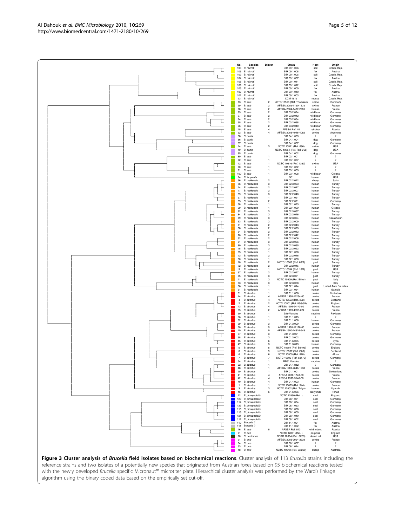Figure 3 Cluster analysis of Brucella field isolates based on biochemical reactions. Cluster analysis of 113 Brucella strains including the reference strains and two isolates of a potentially new species that originated from Austrian foxes based on 93 biochemical reactions tested with the newly developed Brucella specific Micronaut™ microtiter plate. Hierarchical cluster analysis was performed by the Ward's linkage algorithm using the binary coded data based on the empirically set cut-off.

<span id="page-4-0"></span>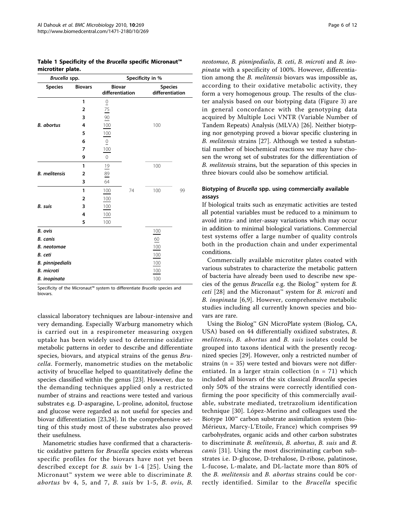| Brucella spp.           |                | Specificity in %                 |    |                                   |    |  |  |  |
|-------------------------|----------------|----------------------------------|----|-----------------------------------|----|--|--|--|
| <b>Species</b>          | <b>Biovars</b> | <b>Biovar</b><br>differentiation |    | <b>Species</b><br>differentiation |    |  |  |  |
|                         | 1              | $\overline{0}$                   |    |                                   |    |  |  |  |
|                         | $\overline{2}$ | $\frac{75}{2}$                   |    |                                   |    |  |  |  |
|                         | 3              | $\frac{90}{5}$                   |    |                                   |    |  |  |  |
| <b>B.</b> abortus       | 4              | 100                              |    | 100                               |    |  |  |  |
|                         | 5              | 100                              |    |                                   |    |  |  |  |
|                         | 6              | $\underline{0}$                  |    |                                   |    |  |  |  |
|                         | 7              | 100                              |    |                                   |    |  |  |  |
|                         | 9              | $\overline{0}$                   |    |                                   |    |  |  |  |
|                         | 1              | 19                               |    | 100                               |    |  |  |  |
| <b>B.</b> melitensis    | 2              | 89                               |    |                                   |    |  |  |  |
|                         | 3              | 64                               |    |                                   |    |  |  |  |
|                         | 1              | 100                              | 74 | 100                               | 99 |  |  |  |
|                         | $\overline{2}$ | 100                              |    |                                   |    |  |  |  |
| <b>B.</b> suis          | 3              | 100                              |    |                                   |    |  |  |  |
|                         | 4              | 100                              |    |                                   |    |  |  |  |
|                         | 5              | 100                              |    |                                   |    |  |  |  |
| <b>B.</b> ovis          |                |                                  |    | 100                               |    |  |  |  |
| <b>B.</b> canis         |                |                                  |    | $\underline{60}$                  |    |  |  |  |
| <b>B.</b> neotomae      |                |                                  |    | 100                               |    |  |  |  |
| B. ceti                 |                |                                  |    | 100                               |    |  |  |  |
| <b>B.</b> pinnipedialis |                |                                  |    | 100                               |    |  |  |  |
| <b>B.</b> microti       |                |                                  |    | 100                               |    |  |  |  |
| <b>B.</b> inopinata     |                |                                  |    | 100                               |    |  |  |  |

<span id="page-5-0"></span>Table 1 Specificity of the Brucella specific Micronaut™ microtiter plate.

Specificity of the Micronaut™ system to differentiate Brucella species and biovars.

classical laboratory techniques are labour-intensive and very demanding. Especially Warburg manometry which is carried out in a respirometer measuring oxygen uptake has been widely used to determine oxidative metabolic patterns in order to describe and differentiate species, biovars, and atypical strains of the genus Brucella. Formerly, manometric studies on the metabolic activity of brucellae helped to quantitatively define the species classified within the genus [[23\]](#page-11-0). However, due to the demanding techniques applied only a restricted number of strains and reactions were tested and various substrates e.g. D-asparagine, L-proline, adonitol, fructose and glucose were regarded as not useful for species and biovar differentiation [[23,24\]](#page-11-0). In the comprehensive setting of this study most of these substrates also proved their usefulness.

Manometric studies have confirmed that a characteristic oxidative pattern for Brucella species exists whereas specific profiles for the biovars have not yet been described except for B. suis bv 1-4 [[25](#page-11-0)]. Using the Micronaut<sup>™</sup> system we were able to discriminate  $B$ . abortus by 4, 5, and 7, B. suis by  $1-5$ , B. ovis, B. neotomae, B. pinnipedialis, B. ceti, B. microti and B. inopinata with a specificity of 100%. However, differentiation among the B. melitensis biovars was impossible as, according to their oxidative metabolic activity, they form a very homogenous group. The results of the cluster analysis based on our biotyping data (Figure [3\)](#page-4-0) are in general concordance with the genotyping data acquired by Multiple Loci VNTR (Variable Number of Tandem Repeats) Analysis (MLVA) [\[26](#page-11-0)]. Neither biotyping nor genotyping proved a biovar specific clustering in B. melitensis strains [\[27](#page-11-0)]. Although we tested a substantial number of biochemical reactions we may have chosen the wrong set of substrates for the differentiation of B. melitensis strains, but the separation of this species in three biovars could also be somehow artificial.

#### Biotyping of Brucella spp. using commercially available assays

If biological traits such as enzymatic activities are tested all potential variables must be reduced to a minimum to avoid intra- and inter-assay variations which may occur in addition to minimal biological variations. Commercial test systems offer a large number of quality controls both in the production chain and under experimental conditions.

Commercially available microtiter plates coated with various substrates to characterize the metabolic pattern of bacteria have already been used to describe new species of the genus *Brucella* e.g. the Biolog<sup>™</sup> system for *B*. *ceti* [[28](#page-11-0)] and the Micronaut™ system for *B. microti* and B. inopinata [[6,9](#page-10-0)]. However, comprehensive metabolic studies including all currently known species and biovars are rare.

Using the Biolog™ GN MicroPlate system (Biolog, CA, USA) based on 44 differentially oxidized substrates, B. melitensis, B. abortus and B. suis isolates could be grouped into taxons identical with the presently recognized species [[29\]](#page-11-0). However, only a restricted number of strains (n = 35) were tested and biovars were not differentiated. In a larger strain collection  $(n = 71)$  which included all biovars of the six classical Brucella species only 50% of the strains were correctly identified confirming the poor specificity of this commercially available, substrate mediated, tretrazolium identification technique [\[30](#page-11-0)]. López-Merino and colleagues used the Biotype 100™ carbon substrate assimilation system (bio-Mérieux, Marcy-L'Etoile, France) which comprises 99 carbohydrates, organic acids and other carbon substrates to discriminate B. melitensis, B. abortus, B. suis and B. canis [\[31\]](#page-11-0). Using the most discriminating carbon substrates i.e. D-glucose, D-trehalose, D-ribose, palatinose, L-fucose, L-malate, and DL-lactate more than 80% of the B. melitensis and B. abortus strains could be correctly identified. Similar to the *Brucella* specific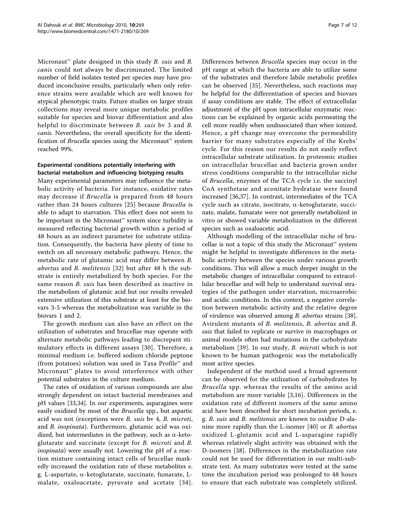Micronaut<sup>™</sup> plate designed in this study *B. suis* and *B.* canis could not always be discriminated. The limited number of field isolates tested per species may have produced inconclusive results, particularly when only reference strains were available which are well known for atypical phenotypic traits. Future studies on larger strain collections may reveal more unique metabolic profiles suitable for species and biovar differentiation and also helpful to discriminate between *B. suis* by 3 and *B.* canis. Nevertheless, the overall specificity for the identification of *Brucella* species using the Micronaut<sup>™</sup> system reached 99%.

## Experimental conditions potentially interfering with bacterial metabolism and influencing biotyping results

Many experimental parameters may influence the metabolic activity of bacteria. For instance, oxidative rates may decrease if Brucella is prepared from 48 hours rather than 24 hours cultures [[25](#page-11-0)] because Brucella is able to adapt to starvation. This effect does not seem to be important in the Micronaut<sup>™</sup> system since turbidity is measured reflecting bacterial growth within a period of 48 hours as an indirect parameter for substrate utilization. Consequently, the bacteria have plenty of time to switch on all necessary metabolic pathways. Hence, the metabolic rate of glutamic acid may differ between B. abortus and B. melitensis [\[32\]](#page-11-0) but after 48 h the substrate is entirely metabolized by both species. For the same reason *B. suis* has been described as inactive in the metabolism of glutamic acid but our results revealed extensive utilization of this substrate at least for the biovars 3-5 whereas the metabolization was variable in the biovars 1 and 2.

The growth medium can also have an effect on the utilization of substrates and brucellae may operate with alternate metabolic pathways leading to discrepant stimulatory effects in different assays [[30\]](#page-11-0). Therefore, a minimal medium i.e. buffered sodium chloride peptone (from potatoes) solution was used in Taxa Profile™ and Micronaut™ plates to avoid interference with other potential substrates in the culture medium.

The rates of oxidation of various compounds are also strongly dependent on intact bacterial membranes and pH values [[33](#page-11-0),[34](#page-11-0)]. In our experiments, asparagines were easily oxidized by most of the Brucella spp., but aspartic acid was not (exceptions were B. suis bv 4, B. microti, and B. inopinata). Furthermore, glutamic acid was oxidized, but intermediates in the pathway, such as  $\alpha$ -ketoglutarate and succinate (except for B. microti and B. inopinata) were usually not. Lowering the pH of a reaction mixture containing intact cells of brucellae markedly increased the oxidation rate of these metabolites e. g. L-aspartate,  $\alpha$ -ketoglutarate, succinate, fumarate, Lmalate, oxaloacetate, pyruvate and acetate [[34\]](#page-11-0). Differences between Brucella species may occur in the pH range at which the bacteria are able to utilize some of the substrates and therefore labile metabolic profiles can be observed [[35\]](#page-11-0). Nevertheless, such reactions may be helpful for the differentiation of species and biovars if assay conditions are stable. The effect of extracellular adjustment of the pH upon intracellular enzymatic reactions can be explained by organic acids permeating the cell more readily when undissociated than when ionized. Hence, a pH change may overcome the permeability barrier for many substrates especially of the Krebs' cycle. For this reason our results do not easily reflect intracellular substrate utilization. In proteomic studies on intracellular brucellae and bacteria grown under stress conditions comparable to the intracellular niche of Brucella, enzymes of the TCA cycle i.e. the succinyl CoA synthetase and aconitate hydratase were found increased [[36,37\]](#page-11-0). In contrast, intermediates of the TCA cycle such as citrate, isocitrate,  $\alpha$ -ketoglutarate, succinate, malate, fumarate were not generally metabolized in vitro or showed variable metabolization in the different species such as oxaloacetic acid.

Although modelling of the intracellular niche of brucellae is not a topic of this study the Micronaut™ system might be helpful to investigate differences in the metabolic activity between the species under various growth conditions. This will allow a much deeper insight in the metabolic changes of intracellular compared to extracellular brucellae and will help to understand survival strategies of the pathogen under starvation, microaerobic and acidic conditions. In this context, a negative correlation between metabolic activity and the relative degree of virulence was observed among B. abortus strains [[38](#page-11-0)]. Avirulent mutants of B. melitensis, B. abortus and B. suis that failed to replicate or survive in macrophages or animal models often had mutations in the carbohydrate metabolism [[39](#page-11-0)]. In our study, B. microti which is not known to be human pathogenic was the metabolically most active species.

Independent of the method used a broad agreement can be observed for the utilization of carbohydrates by Brucella spp. whereas the results of the amino acid metabolism are more variable [\[3,16](#page-10-0)]. Differences in the oxidation rate of different isomers of the same amino acid have been described for short incubation periods, e. g. B. suis and B. melitensis are known to oxidize D-alanine more rapidly than the L-isomer [[40\]](#page-11-0) or B. abortus oxidized L-glutamic acid and L-asparagine rapidly whereas relatively slight activity was obtained with the D-isomers [[38\]](#page-11-0). Differences in the metabolization rate could not be used for differentiation in our multi-substrate test. As many substrates were tested at the same time the incubation period was prolonged to 48 hours to ensure that each substrate was completely utilized.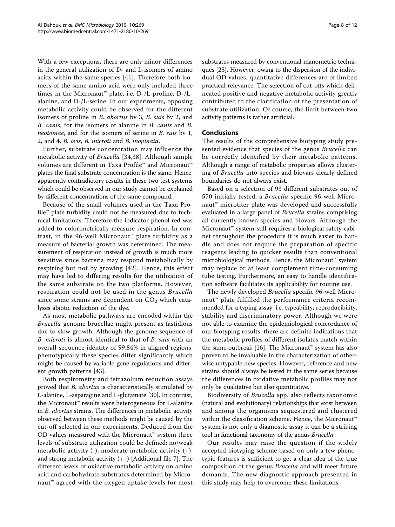With a few exceptions, there are only minor differences in the general utilization of D- and L-isomers of amino acids within the same species [[41\]](#page-11-0). Therefore both isomers of the same amino acid were only included three times in the Micronaut™ plate, i.e. D-/L-proline, D-/Lalanine, and D-/L-serine. In our experiments, opposing metabolic activity could be observed for the different isomers of proline in B. abortus bv 3, B. suis bv 2, and B. canis, for the isomers of alanine in B. canis and B. neotomae, and for the isomers of serine in B. suis bv 1, 2, and 4, B. ovis, B. microti and B. inopinata.

Further, substrate concentration may influence the metabolic activity of Brucella [\[34](#page-11-0),[38\]](#page-11-0). Although sample volumes are different in Taxa Profile™ and Micronaut™ plates the final substrate concentration is the same. Hence, apparently contradictory results in these two test systems which could be observed in our study cannot be explained by different concentrations of the same compound.

Because of the small volumes used in the Taxa Profile™ plate turbidity could not be measured due to technical limitations. Therefore the indicator phenol red was added to colorimetrically measure respiration. In contrast, in the 96-well Micronaut<sup>™</sup> plate turbidity as a measure of bacterial growth was determined. The measurement of respiration instead of growth is much more sensitive since bacteria may respond metabolically by respiring but not by growing [[42](#page-11-0)]. Hence, this effect may have led to differing results for the utilization of the same substrate on the two platforms. However, respiration could not be used in the genus Brucella since some strains are dependent on  $CO<sub>2</sub>$  which catalyzes abiotic reduction of the dye.

As most metabolic pathways are encoded within the Brucella genome brucellae might present as fastidious due to slow growth. Although the genome sequence of B. microti is almost identical to that of B. suis with an overall sequence identity of 99.84% in aligned regions, phenotypically these species differ significantly which might be caused by variable gene regulations and different growth patterns [\[43](#page-11-0)].

Both respirometry and tetrazolium reduction assays proved that *B. abortus* is characteristically stimulated by L-alanine, L-asparagine and L-glutamate [\[30](#page-11-0)]. In contrast, the Micronaut™ results were heterogeneous for L-alanine in B. abortus strains. The differences in metabolic activity observed between these methods might be caused by the cut-off selected in our experiments. Deduced from the OD values measured with the Micronaut™ system three levels of substrate utilization could be defined: no/weak metabolic activity  $(-)$ , moderate metabolic activity  $(+)$ , and strong metabolic activity (++) [Additional file [7](#page-10-0)]. The different levels of oxidative metabolic activity on amino acid and carbohydrate substrates determined by Micronaut<sup>™</sup> agreed with the oxygen uptake levels for most substrates measured by conventional manometric techniques [\[25\]](#page-11-0). However, owing to the dispersion of the individual OD values, quantitative differences are of limited practical relevance. The selection of cut-offs which delineated positive and negative metabolic activity greatly contributed to the clarification of the presentation of substrate utilization. Of course, the limit between two activity patterns is rather artificial.

# Conclusions

The results of the comprehensive biotyping study presented evidence that species of the genus Brucella can be correctly identified by their metabolic patterns. Although a range of metabolic properties allows clustering of Brucella into species and biovars clearly defined boundaries do not always exist.

Based on a selection of 93 different substrates out of 570 initially tested, a Brucella specific 96-well Micronaut<sup>™</sup> microtiter plate was developed and successfully evaluated in a large panel of Brucella strains comprising all currently known species and biovars. Although the Micronaut™ system still requires a biological safety cabinet throughout the procedure it is much easier to handle and does not require the preparation of specific reagents leading to quicker results than conventional microbiological methods. Hence, the Micronaut™ system may replace or at least complement time-consuming tube testing. Furthermore, an easy to handle identification software facilitates its applicability for routine use.

The newly developed Brucella specific 96-well Micronaut<sup>™</sup> plate fulfilled the performance criteria recommended for a typing assay, i.e. typeability, reproducibility, stability and discriminatory power. Although we were not able to examine the epidemiological concordance of our biotyping results, there are definite indications that the metabolic profiles of different isolates match within the same outbreak [[16\]](#page-10-0). The Micronaut<sup>™</sup> system has also proven to be invaluable in the characterization of otherwise untypable new species. However, reference and new strains should always be tested in the same series because the differences in oxidative metabolic profiles may not only be qualitative but also quantitative.

Biodiversity of Brucella spp. also reflects taxonomic (natural and evolutionary) relationships that exist between and among the organisms sequestered and clustered within the classification scheme. Hence, the Micronaut™ system is not only a diagnostic assay it can be a striking tool in functional taxonomy of the genus Brucella.

Our results may raise the question if the widely accepted biotyping scheme based on only a few phenotypic features is sufficient to get a clear idea of the true composition of the genus Brucella and will meet future demands. The new diagnostic approach presented in this study may help to overcome these limitations.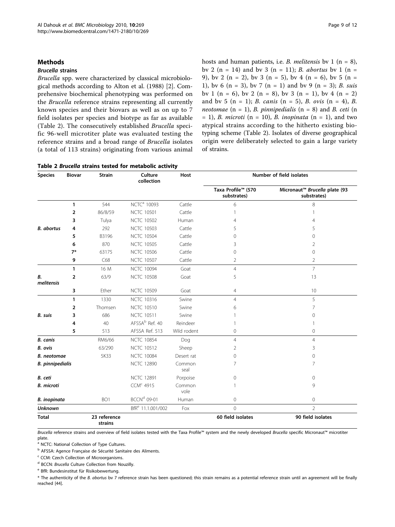#### <span id="page-8-0"></span>Methods

#### Brucella strains

Brucella spp. were characterized by classical microbiological methods according to Alton et al. (1988) [[2\]](#page-10-0). Comprehensive biochemical phenotyping was performed on the Brucella reference strains representing all currently known species and their biovars as well as on up to 7 field isolates per species and biotype as far as available (Table 2). The consecutively established Brucella specific 96-well microtiter plate was evaluated testing the reference strains and a broad range of Brucella isolates (a total of 113 strains) originating from various animal hosts and human patients, i.e. *B. melitensis* by 1 ( $n = 8$ ), bv 2 (n = 14) and bv 3 (n = 11); *B. abortus* bv 1 (n = 9), by 2 (n = 2), by 3 (n = 5), by 4 (n = 6), by 5 (n = 1), by 6 (n = 3), by 7 (n = 1) and by 9 (n = 3); B. suis bv 1 (n = 6), bv 2 (n = 8), bv 3 (n = 1), bv 4 (n = 2) and by 5 (n = 1); *B. canis* (n = 5), *B. ovis* (n = 4), *B.* neotomae  $(n = 1)$ , B. pinnipedialis  $(n = 8)$  and B. ceti  $(n = 1)$  $= 1$ , B. microti (n = 10), B. inopinata (n = 1), and two atypical strains according to the hitherto existing biotyping scheme (Table 2). Isolates of diverse geographical origin were deliberately selected to gain a large variety of strains.

Table 2 Brucella strains tested for metabolic activity

| <b>Species</b>          | <b>Biovar</b>  | <b>Strain</b>           | Culture<br>collection         | Host           | Number of field isolates          |                                                          |  |  |
|-------------------------|----------------|-------------------------|-------------------------------|----------------|-----------------------------------|----------------------------------------------------------|--|--|
|                         |                |                         |                               |                | Taxa Profile™ (570<br>substrates) | Micronaut <sup>™</sup> Brucella plate (93<br>substrates) |  |  |
|                         | $\mathbf{1}$   | 544                     | NCTC <sup>a</sup> 10093       | Cattle         | 6                                 | 8                                                        |  |  |
|                         | $\overline{2}$ | 86/8/59                 | <b>NCTC 10501</b>             | Cattle         | 1                                 |                                                          |  |  |
|                         | 3              | Tulya                   | <b>NCTC 10502</b>             | Human          | $\overline{4}$                    | 4                                                        |  |  |
| <b>B.</b> abortus       | 4              | 292                     | <b>NCTC 10503</b>             | Cattle         | 5                                 | 5                                                        |  |  |
|                         | 5              | B3196                   | <b>NCTC 10504</b>             | Cattle         | 0                                 | $\Omega$                                                 |  |  |
|                         | 6              | 870                     | <b>NCTC 10505</b>             | Cattle         | 3                                 | 2                                                        |  |  |
|                         | $7*$           | 63175                   | <b>NCTC 10506</b>             | Cattle         | $\mathbf 0$                       | 0                                                        |  |  |
|                         | 9              | C68                     | <b>NCTC 10507</b>             | Cattle         | $\overline{2}$                    | $\overline{2}$                                           |  |  |
|                         | 1              | 16 M                    | <b>NCTC 10094</b>             | Goat           | $\overline{4}$                    | $\overline{7}$                                           |  |  |
| В.<br>melitensis        | 2              | 63/9                    | <b>NCTC 10508</b>             | Goat           | 5                                 | 13                                                       |  |  |
|                         | 3              | Ether                   | <b>NCTC 10509</b>             | Goat           | 4                                 | 10                                                       |  |  |
|                         | 1              | 1330                    | <b>NCTC 10316</b>             | Swine          | $\overline{4}$                    | 5                                                        |  |  |
|                         | 2              | Thomsen                 | <b>NCTC 10510</b>             | Swine          | 6                                 | 7                                                        |  |  |
| B. suis                 | 3              | 686                     | <b>NCTC 10511</b>             | Swine          | 1                                 | 0                                                        |  |  |
|                         | 4              | 40                      | AFSSA <sup>b</sup> Ref. 40    | Reindeer       | 1                                 |                                                          |  |  |
|                         | 5              | 513                     | AFSSA Ref. 513                | Wild rodent    | 0                                 | 0                                                        |  |  |
| <b>B.</b> canis         |                | RM6/66                  | <b>NCTC 10854</b>             | Dog            | $\overline{4}$                    | $\overline{4}$                                           |  |  |
| B. ovis                 |                | 63/290                  | <b>NCTC 10512</b>             | Sheep          | $\overline{2}$                    | 3                                                        |  |  |
| <b>B.</b> neotomae      |                | 5K33                    | <b>NCTC 10084</b>             | Desert rat     | 0                                 | 0                                                        |  |  |
| <b>B.</b> pinnipedialis |                |                         | <b>NCTC 12890</b>             | Common<br>seal | $\overline{7}$                    | 7                                                        |  |  |
| B. ceti                 |                |                         | <b>NCTC 12891</b>             | Porpoise       | $\mathbf 0$                       | 0                                                        |  |  |
| <b>B.</b> microti       |                |                         | CCM <sup>c</sup> 4915         | Common<br>vole | 1                                 | 9                                                        |  |  |
| <b>B.</b> inopinata     |                | BO <sub>1</sub>         | BCCN <sup>d</sup> 09-01       | Human          | $\mathbf 0$                       | 0                                                        |  |  |
| <b>Unknown</b>          |                |                         | BfR <sup>e</sup> 11.1.001/002 | Fox            | $\overline{0}$                    | $\overline{2}$                                           |  |  |
| <b>Total</b>            |                | 23 reference<br>strains |                               |                | 60 field isolates                 | 90 field isolates                                        |  |  |

Brucella reference strains and overview of field isolates tested with the Taxa Profile™ system and the newly developed Brucella specific Micronaut™ microtiter plate.

a NCTC: National Collection of Type Cultures.

<sup>b</sup> AFSSA: Agence Française de Sécurité Sanitaire des Aliments.

<sup>c</sup> CCM: Czech Collection of Microorganisms.

<sup>d</sup> BCCN: Brucella Culture Collection from Nouzilly.

<sup>e</sup> BfR: Bundesinstitut für Risikobewertung.

\* The authenticity of the B. abortus bv 7 reference strain has been questioned; this strain remains as a potential reference strain until an agreement will be finally reached [[44\]](#page-11-0).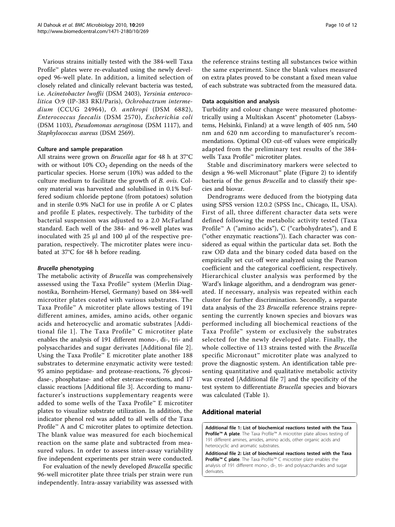<span id="page-9-0"></span>Various strains initially tested with the 384-well Taxa Profile™ plates were re-evaluated using the newly developed 96-well plate. In addition, a limited selection of closely related and clinically relevant bacteria was tested, i.e. Acinetobacter lwoffii (DSM 2403), Yersinia enterocolitica O:9 (IP-383 RKI/Paris), Ochrobactrum intermedium (CCUG 24964), O. anthropi (DSM 6882), Enterococcus faecalis (DSM 2570), Escherichia coli (DSM 1103), Pseudomonas aeruginosa (DSM 1117), and Staphylococcus aureus (DSM 2569).

#### Culture and sample preparation

All strains were grown on Brucella agar for 48 h at 37°C with or without  $10\%$  CO<sub>2</sub> depending on the needs of the particular species. Horse serum (10%) was added to the culture medium to facilitate the growth of B. ovis. Colony material was harvested and solubilised in 0.1% buffered sodium chloride peptone (from potatoes) solution and in sterile 0.9% NaCl for use in profile A or C plates and profile E plates, respectively. The turbidity of the bacterial suspension was adjusted to a 2.0 McFarland standard. Each well of the 384- and 96-well plates was inoculated with 25 μl and 100 μl of the respective preparation, respectively. The microtiter plates were incubated at 37°C for 48 h before reading.

#### Brucella phenotyping

The metabolic activity of Brucella was comprehensively assessed using the Taxa Profile™ system (Merlin Diagnostika, Bornheim-Hersel, Germany) based on 384-well microtiter plates coated with various substrates. The Taxa Profile™ A microtiter plate allows testing of 191 different amines, amides, amino acids, other organic acids and heterocyclic and aromatic substrates [Additional file 1]. The Taxa Profile™ C microtiter plate enables the analysis of 191 different mono-, di-, tri- and polysaccharides and sugar derivates [Additional file 2]. Using the Taxa Profile™ E microtiter plate another 188 substrates to determine enzymatic activity were tested: 95 amino peptidase- and protease-reactions, 76 glycosidase-, phosphatase- and other esterase-reactions, and 17 classic reactions [Additional file [3](#page-10-0)]. According to manufacturer's instructions supplementary reagents were added to some wells of the Taxa Profile™ E microtiter plates to visualize substrate utilization. In addition, the indicator phenol red was added to all wells of the Taxa Profile™ A and C microtiter plates to optimize detection. The blank value was measured for each biochemical reaction on the same plate and subtracted from measured values. In order to assess inter-assay variability five independent experiments per strain were conducted.

For evaluation of the newly developed Brucella specific 96-well microtiter plate three trials per strain were run independently. Intra-assay variability was assessed with the reference strains testing all substances twice within the same experiment. Since the blank values measured on extra plates proved to be constant a fixed mean value of each substrate was subtracted from the measured data.

#### Data acquisition and analysis

Turbidity and colour change were measured photometrically using a Multiskan Ascent® photometer (Labsystems, Helsinki, Finland) at a wave length of 405 nm, 540 nm and 620 nm according to manufacturer's recommendations. Optimal OD cut-off values were empirically adapted from the preliminary test results of the 384 wells Taxa Profile™ microtiter plates.

Stable and discriminatory markers were selected to design a 96-well Micronaut™ plate (Figure [2](#page-3-0)) to identify bacteria of the genus Brucella and to classify their species and biovar.

Dendrograms were deduced from the biotyping data using SPSS version 12.0.2 (SPSS Inc., Chicago, IL, USA). First of all, three different character data sets were defined following the metabolic activity tested (Taxa Profile™ A ("amino acids"), C ("carbohydrates"), and E ("other enzymatic reactions")). Each character was considered as equal within the particular data set. Both the raw OD data and the binary coded data based on the empirically set cut-off were analyzed using the Pearson coefficient and the categorical coefficient, respectively. Hierarchical cluster analysis was performed by the Ward's linkage algorithm, and a dendrogram was generated. If necessary, analysis was repeated within each cluster for further discrimination. Secondly, a separate data analysis of the 23 Brucella reference strains representing the currently known species and biovars was performed including all biochemical reactions of the Taxa Profile™ system or exclusively the substrates selected for the newly developed plate. Finally, the whole collective of 113 strains tested with the Brucella specific Micronaut™ microtiter plate was analyzed to prove the diagnostic system. An identification table presenting quantitative and qualitative metabolic activity was created [Additional file [7](#page-10-0)] and the specificity of the test system to differentiate Brucella species and biovars was calculated (Table [1\)](#page-5-0).

#### Additional material

[Additional file 1: L](http://www.biomedcentral.com/content/supplementary/1471-2180-10-269-S1.PDF)ist of biochemical reactions tested with the Taxa Profile™ A plate. The Taxa Profile™ A microtiter plate allows testing of 191 different amines, amides, amino acids, other organic acids and heterocyclic and aromatic substrates.

[Additional file 2: L](http://www.biomedcentral.com/content/supplementary/1471-2180-10-269-S2.PDF)ist of biochemical reactions tested with the Taxa Profile™ C plate. The Taxa Profile™ C microtiter plate enables the analysis of 191 different mono-, di-, tri- and polysaccharides and sugar derivates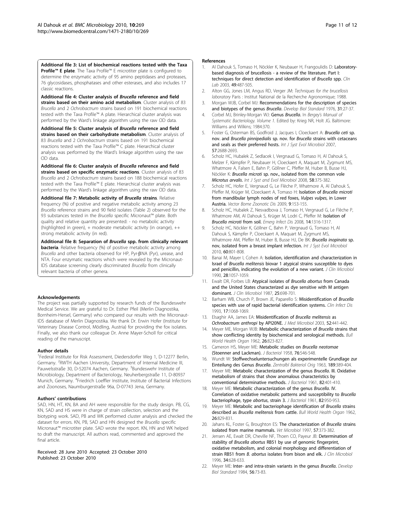<span id="page-10-0"></span>[Additional file 3: L](http://www.biomedcentral.com/content/supplementary/1471-2180-10-269-S3.PDF)ist of biochemical reactions tested with the Taxa Profile™ E plate. The Taxa Profile™ E microtiter plate is configured to determine the enzymatic activity of 95 amino peptidases and proteases, 76 glycosidases, phosphatases and other esterases, and also includes 17 classic reactions.

[Additional file 4: C](http://www.biomedcentral.com/content/supplementary/1471-2180-10-269-S4.PDF)luster analysis of Brucella reference and field strains based on their amino acid metabolism. Cluster analysis of 83 Brucella and 2 Ochrobactrum strains based on 191 biochemical reactions tested with the Taxa Profile™ A plate. Hierarchical cluster analysis was performed by the Ward's linkage algorithm using the raw OD data.

[Additional file 5: C](http://www.biomedcentral.com/content/supplementary/1471-2180-10-269-S5.PDF)luster analysis of Brucella reference and field strains based on their carbohydrate metabolism. Cluster analysis of 83 Brucella and 2 Ochrobactrum strains based on 191 biochemical reactions tested with the Taxa Profile™ C plate. Hierarchical cluster analysis was performed by the Ward's linkage algorithm using the raw OD data.

[Additional file 6: C](http://www.biomedcentral.com/content/supplementary/1471-2180-10-269-S6.PDF)luster analysis of Brucella reference and field strains based on specific enzymatic reactions. Cluster analysis of 83 Brucella and 2 Ochrobactrum strains based on 188 biochemical reactions tested with the Taxa Profile™ E plate. Hierarchical cluster analysis was performed by the Ward's linkage algorithm using the raw OD data.

[Additional file 7: M](http://www.biomedcentral.com/content/supplementary/1471-2180-10-269-S7.PDF)etabolic activity of Brucella strains. Relative frequency (%) of positive and negative metabolic activity among 23 Brucella reference strains and 90 field isolates (Table [2](#page-8-0)) observed for the 93 substances tested in the Brucella specific Micronaut™ plate. Both quality and relative quantity are presented: - no metabolic activity (highlighted in green), + moderate metabolic activity (in orange), ++ strong metabolic activity (in red).

[Additional file 8: S](http://www.biomedcentral.com/content/supplementary/1471-2180-10-269-S8.PDF)eparation of Brucella spp. from clinically relevant **bacteria**. Relative frequency (%) of positive metabolic activity among Brucella and other bacteria observed for HP, Pyr-BNA (Pyr), urease, and NTA. Four enzymatic reactions which were revealed by the Micronaut-IDS database screening clearly discriminated Brucella from clinically relevant bacteria of other genera.

#### Acknowledgements

The project was partially supported by research funds of the Bundeswehr Medical Service. We are grateful to Dr. Esther Pfeil (Merlin Diagnostika, Bornheim-Hersel, Germany) who compared our results with the Micronaut-IDS database of Merlin Diagnostika. We thank Dr. Erwin Hofer (Institute for Veterinary Disease Control, Mödling, Austria) for providing the fox isolates. Finally, we also thank our colleague Dr. Anne Mayer-Scholl for critical reading of the manuscript.

#### Author details

<sup>1</sup>Federal Institute for Risk Assessment, Diedersdorfer Weg 1, D-12277 Berlin, Germany. <sup>2</sup>RWTH Aachen University, Department of Internal Medicine III, Pauwelsstraße 30, D-52074 Aachen, Germany. <sup>3</sup>Bundeswehr Institute of Microbiology, Department of Bacteriology, Neuherbergstraße 11, D-80937 Munich, Germany. <sup>4</sup>Friedrich Loeffler Institute, Institute of Bacterial Infections and Zoonoses, Naumburgerstraße 96a, D-07743 Jena, Germany.

#### Authors' contributions

SAD, HN, HT, KN, BA and AH were responsible for the study design. PB, CG, KN, SAD and HS were in charge of strain collection, selection and the biotyping work. SAD, PB and WK performed cluster analysis and checked the dataset for errors. KN, PB, SAD and HN designed the Brucella specific Micronaut™ microtiter plate. SAD wrote the report. KN, HN and WK helped to draft the manuscript. All authors read, commented and approved the final article.

Received: 28 June 2010 Accepted: 23 October 2010 Published: 23 October 2010

#### References

- 1. Al Dahouk S, Tomaso H, Nöckler K, Neubauer H, Frangoulidis D: [Laboratory](http://www.ncbi.nlm.nih.gov/pubmed/14572205?dopt=Abstract)[based diagnosis of brucellosis - a review of the literature. Part I:](http://www.ncbi.nlm.nih.gov/pubmed/14572205?dopt=Abstract) [techniques for direct detection and identification of](http://www.ncbi.nlm.nih.gov/pubmed/14572205?dopt=Abstract) Brucella spp. Clin Lab 2003, 49:487-505.
- 2. Alton GG, Jones LM, Angus RD, Verger JM: Techniques for the brucellosis laboratory Paris : Institut National de la Recherche Agronomique; 1988.
- 3. Morgan WJB, Corbel MJ: Recommendations for the description of species and biotypes of the genus Brucella. Develop Biol Standard 1976, 31:27-37.
- 4. Corbel MJ, Brinley-Morgan WJ: Genus Brucella. In Bergey's Manual of Systematic Bacteriology. Volume 1. Edited by: Krieg NR, Holt JG. Baltimore: Williams and Wilkins; 1984:370.
- 5. Foster G, Osterman BS, Godfroid J, Jacques I, Cloeckaert A: [Brucella ceti](http://www.ncbi.nlm.nih.gov/pubmed/17978241?dopt=Abstract) sp. nov. and Brucella pinnipedialis sp. nov. for Brucella [strains with cetaceans](http://www.ncbi.nlm.nih.gov/pubmed/17978241?dopt=Abstract) [and seals as their preferred hosts.](http://www.ncbi.nlm.nih.gov/pubmed/17978241?dopt=Abstract) Int J Syst Evol Microbiol 2007, 57:2688-2693.
- 6. Scholz HC, Hubalek Z, Sedlacek I, Vergnaud G, Tomaso H, Al Dahouk S, Melzer F, Kämpfer P, Neubauer H, Cloeckaert A, Maquart M, Zygmunt MS, Whatmore A, Falsen E, Bahn P, Göllner C, Pfeffer M, Huber B, Busse HJ, Nöckler K: Brucella microti sp. nov., isolated from the common vole Microtus arvalis. Int J Syst and Evol Microbiol 2008, 58:375-382.
- 7. Scholz HC, Hofer E, Vergnaud G, Le Flèche P, Whatmore A, Al Dahouk S, Pfeffer M, Krüger M, Cloeckaert A, Tomaso H: Isolation of [Brucella microti](http://www.ncbi.nlm.nih.gov/pubmed/18973444?dopt=Abstract) [from mandibular lymph nodes of red foxes,](http://www.ncbi.nlm.nih.gov/pubmed/18973444?dopt=Abstract) Vulpes vulpes, in Lower [Austria.](http://www.ncbi.nlm.nih.gov/pubmed/18973444?dopt=Abstract) Vector Borne Zoonotic Dis 2009, 9:153-155.
- 8. Scholz HC, Hubalek Z, Nesvadbova J, Tomaso H, Vergnaud G, Le Flèche P, Whatmore AM, Al Dahouk S, Krüger M, Lodri C, Pfeffer M: [Isolation of](http://www.ncbi.nlm.nih.gov/pubmed/18680668?dopt=Abstract) [Brucella microti](http://www.ncbi.nlm.nih.gov/pubmed/18680668?dopt=Abstract) from soil. Emerg Infect Dis 2008, 14:1316-1317.
- 9. Scholz HC, Nöckler K, Göllner C, Bahn P, Vergnaud G, Tomaso H, Al Dahouk S, Kämpfer P, Cloeckaert A, Maquart M, Zygmunt MS, Whatmore AM, Pfeffer M, Huber B, Busse HJ, De BK: [Brucella inopinata](http://www.ncbi.nlm.nih.gov/pubmed/19661515?dopt=Abstract) sp. [nov, isolated from a breast implant infection.](http://www.ncbi.nlm.nih.gov/pubmed/19661515?dopt=Abstract) Int J Syst Evol Microbiol 2010, 60:801-808.
- 10. Banai M, Mayer I, Cohen A: [Isolation, identification and characterization in](http://www.ncbi.nlm.nih.gov/pubmed/2191005?dopt=Abstract) Israel of Brucella melitensis [biovar 1 atypical strains susceptible to dyes](http://www.ncbi.nlm.nih.gov/pubmed/2191005?dopt=Abstract) [and penicillin, indicating the evolution of a new variant.](http://www.ncbi.nlm.nih.gov/pubmed/2191005?dopt=Abstract) J Clin Microbiol 1990, 28:1057-1059.
- 11. Ewalt DR, Forbes LB: [Atypical isolates of](http://www.ncbi.nlm.nih.gov/pubmed/3106410?dopt=Abstract) Brucella abortus from Canada [and the United States characterized as dye sensitive with M antigen](http://www.ncbi.nlm.nih.gov/pubmed/3106410?dopt=Abstract) [dominant.](http://www.ncbi.nlm.nih.gov/pubmed/3106410?dopt=Abstract) J Clin Microbiol 1987, 25:698-701.
- 12. Barham WB, Church P, Brown JE, Paparello S: [Misidentification of](http://www.ncbi.nlm.nih.gov/pubmed/8110938?dopt=Abstract) Brucella [species with use of rapid bacterial identification systems.](http://www.ncbi.nlm.nih.gov/pubmed/8110938?dopt=Abstract) Clin Infect Dis 1993, 17:1068-1069.
- 13. Elsaghir AA, James EA: [Misidentification of](http://www.ncbi.nlm.nih.gov/pubmed/12721322?dopt=Abstract) Brucella melitensis as [Ochrobactrum anthropi](http://www.ncbi.nlm.nih.gov/pubmed/12721322?dopt=Abstract) by API20NE. J Med Microbiol 2003, 52:441-442.
- 14. Meyer ME, Morgan WJB: [Metabolic characterization of](http://www.ncbi.nlm.nih.gov/pubmed/14473150?dopt=Abstract) Brucella strains that [show conflicting identity by biochemical and serological methods.](http://www.ncbi.nlm.nih.gov/pubmed/14473150?dopt=Abstract) Bull World Health Organ 1962, 26:823-827.
- 15. Cameron HS, Meyer ME: [Metabolic studies on](http://www.ncbi.nlm.nih.gov/pubmed/13598716?dopt=Abstract) Brucella neotomae [\(Stoenner and Lackman\).](http://www.ncbi.nlm.nih.gov/pubmed/13598716?dopt=Abstract) J Bacteriol 1958, 76:546-548.
- 16. Wundt W: [Stoffwechseluntersuchungen als experimentelle Grundlage zur](http://www.ncbi.nlm.nih.gov/pubmed/14112874?dopt=Abstract) [Einteilung des Genus](http://www.ncbi.nlm.nih.gov/pubmed/14112874?dopt=Abstract) Brucella. Zentralbl Bakteriol Orig 1963, 189:389-404.
- 17. Meyer ME: [Metabolic characterization of the genus](http://www.ncbi.nlm.nih.gov/pubmed/13770014?dopt=Abstract) Brucella. III. Oxidative [metabolism of strains that show anomalous characteristics by](http://www.ncbi.nlm.nih.gov/pubmed/13770014?dopt=Abstract) [conventional determinative methods.](http://www.ncbi.nlm.nih.gov/pubmed/13770014?dopt=Abstract) J Bacteriol 1961, 82:401-410.
- 18. Meyer ME: [Metabolic characterization of the genus](http://www.ncbi.nlm.nih.gov/pubmed/16561925?dopt=Abstract) Brucella. IV. [Correlation of oxidative metabolic patterns and susceptibility to](http://www.ncbi.nlm.nih.gov/pubmed/16561925?dopt=Abstract) Brucella [bacteriophage, type](http://www.ncbi.nlm.nih.gov/pubmed/16561925?dopt=Abstract) abortus, strain 3. J Bacteriol 1961, 82:950-953.
- 19. Meyer ME: [Metabolic and bacteriophage identification of](http://www.ncbi.nlm.nih.gov/pubmed/14473151?dopt=Abstract) Brucella strains described as [Brucella melitensis](http://www.ncbi.nlm.nih.gov/pubmed/14473151?dopt=Abstract) from cattle. Bull World Health Organ 1962, 26:829-831.
- 20. Jahans KL, Foster G, Broughton ES: [The characterization of](http://www.ncbi.nlm.nih.gov/pubmed/9444074?dopt=Abstract) Brucella strains [isolated from marine mammals.](http://www.ncbi.nlm.nih.gov/pubmed/9444074?dopt=Abstract) Vet Microbiol 1997, 57:373-382.
- 21. Jensen AE, Ewalt DR, Cheville NF, Thoen CO, Payeur JB: [Determination of](http://www.ncbi.nlm.nih.gov/pubmed/8904427?dopt=Abstract) stability of Brucella abortus [RB51 by use of genomic fingerprint,](http://www.ncbi.nlm.nih.gov/pubmed/8904427?dopt=Abstract) [oxidative metabolism, and colonial morphology and differentiation of](http://www.ncbi.nlm.nih.gov/pubmed/8904427?dopt=Abstract) strain RB51 from B. abortus [isolates from bison and elk.](http://www.ncbi.nlm.nih.gov/pubmed/8904427?dopt=Abstract) J Clin Microbiol 1996, 34:628-633.
- 22. Meyer ME: Inter- and intra-strain variants in the genus Brucella. Develop Biol Standard 1984, 56:73-83.